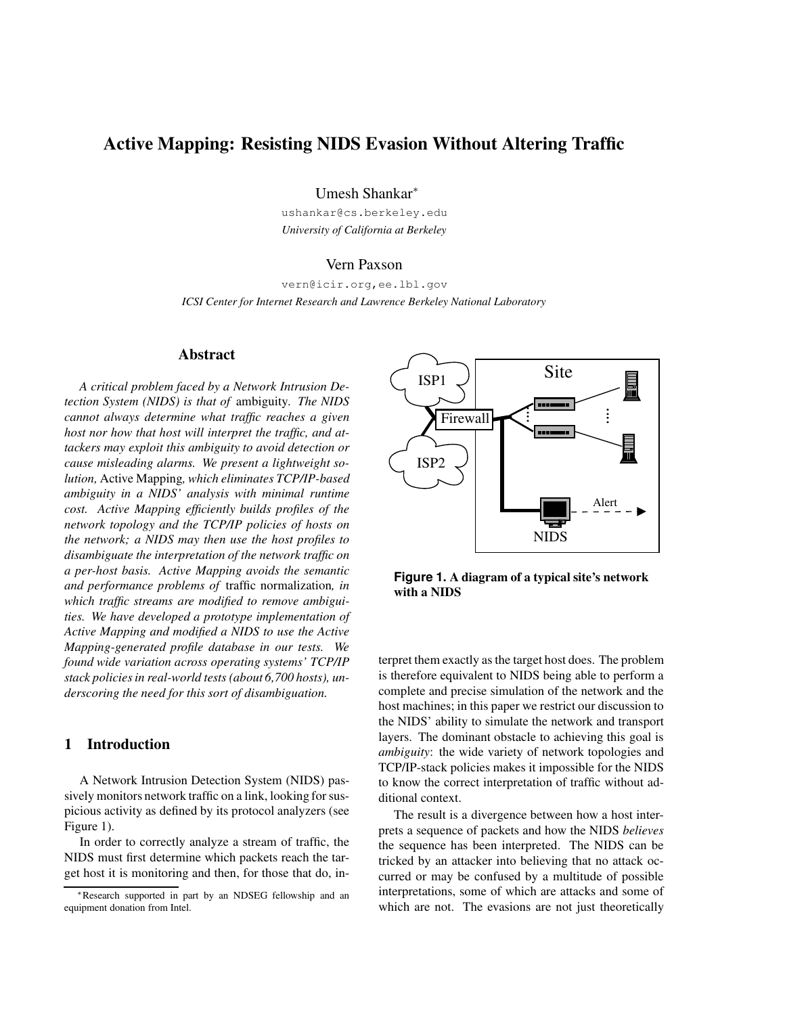# **Active Mapping: Resisting NIDS Evasion Without Altering Traffic**

Umesh Shankar<sup>∗</sup>

ushankar@cs.berkeley.edu *University of California at Berkeley*

## Vern Paxson

vern@icir.org,ee.lbl.gov

*ICSI Center for Internet Research and Lawrence Berkeley National Laboratory*

#### **Abstract**

*A critical problem faced by a Network Intrusion Detection System (NIDS) is that of* ambiguity*. The NIDS cannot always determine what traffic reaches a given host nor how that host will interpret the traffic, and attackers may exploit this ambiguity to avoid detection or cause misleading alarms. We present a lightweight solution,* Active Mapping*, which eliminates TCP/IP-based ambiguity in a NIDS' analysis with minimal runtime cost. Active Mapping efficiently builds profiles of the network topology and the TCP/IP policies of hosts on the network; a NIDS may then use the host profiles to disambiguate the interpretation of the network traffic on a per-host basis. Active Mapping avoids the semantic and performance problems of* traffic normalization*, in which traffic streams are modified to remove ambiguities. We have developed a prototype implementation of Active Mapping and modified a NIDS to use the Active Mapping-generated profile database in our tests. We found wide variation across operating systems' TCP/IP stack policiesin real-world tests (about 6,700 hosts), underscoring the need for this sort of disambiguation.*

#### **1 Introduction**

A Network Intrusion Detection System (NIDS) passively monitors network traffic on a link, looking for suspicious activity as defined by its protocol analyzers (see Figure 1).

In order to correctly analyze a stream of traffic, the NIDS must first determine which packets reach the target host it is monitoring and then, for those that do, in-



**Figure 1. A diagram of a typical site's network with a NIDS**

terpret them exactly as the target host does. The problem is therefore equivalent to NIDS being able to perform a complete and precise simulation of the network and the host machines; in this paper we restrict our discussion to the NIDS' ability to simulate the network and transport layers. The dominant obstacle to achieving this goal is *ambiguity*: the wide variety of network topologies and TCP/IP-stack policies makes it impossible for the NIDS to know the correct interpretation of traffic without additional context.

The result is a divergence between how a host interprets a sequence of packets and how the NIDS *believes* the sequence has been interpreted. The NIDS can be tricked by an attacker into believing that no attack occurred or may be confused by a multitude of possible interpretations, some of which are attacks and some of which are not. The evasions are not just theoretically

<sup>∗</sup>Research supported in part by an NDSEG fellowship and an equipment donation from Intel.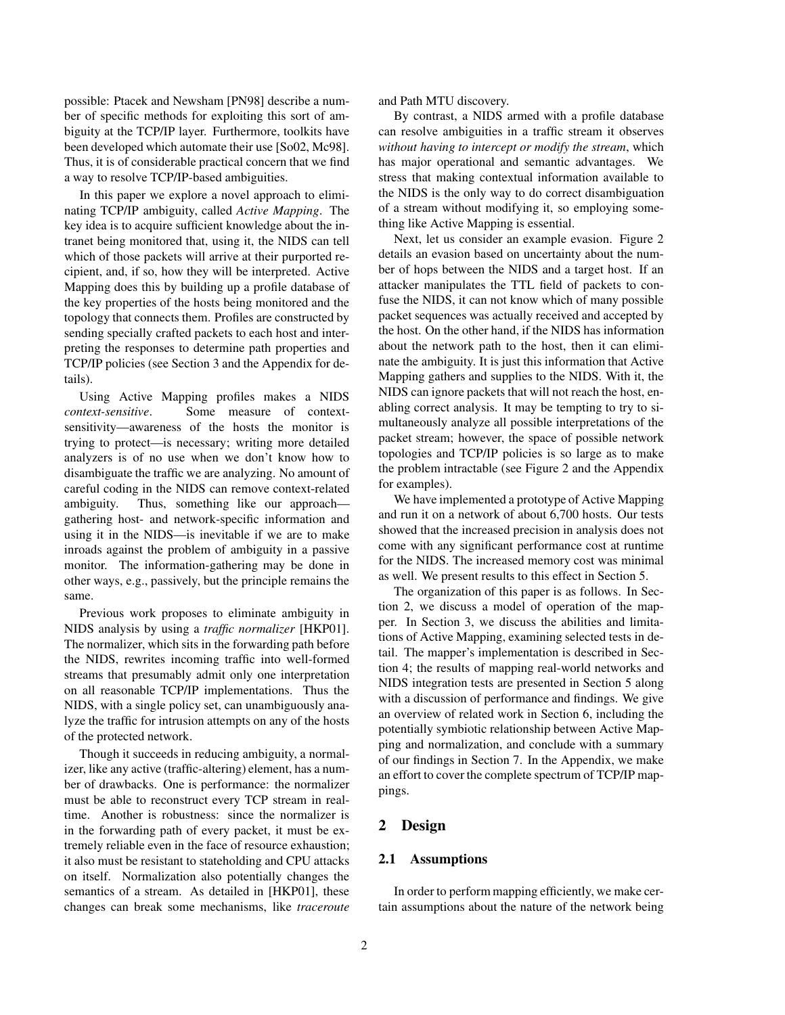possible: Ptacek and Newsham [PN98] describe a number of specific methods for exploiting this sort of ambiguity at the TCP/IP layer. Furthermore, toolkits have been developed which automate their use [So02, Mc98]. Thus, it is of considerable practical concern that we find a way to resolve TCP/IP-based ambiguities.

In this paper we explore a novel approach to eliminating TCP/IP ambiguity, called *Active Mapping*. The key idea is to acquire sufficient knowledge about the intranet being monitored that, using it, the NIDS can tell which of those packets will arrive at their purported recipient, and, if so, how they will be interpreted. Active Mapping does this by building up a profile database of the key properties of the hosts being monitored and the topology that connects them. Profiles are constructed by sending specially crafted packets to each host and interpreting the responses to determine path properties and TCP/IP policies (see Section 3 and the Appendix for details).

Using Active Mapping profiles makes a NIDS *context-sensitive*. Some measure of contextsensitivity—awareness of the hosts the monitor is trying to protect—is necessary; writing more detailed analyzers is of no use when we don't know how to disambiguate the traffic we are analyzing. No amount of careful coding in the NIDS can remove context-related ambiguity. Thus, something like our approach gathering host- and network-specific information and using it in the NIDS—is inevitable if we are to make inroads against the problem of ambiguity in a passive monitor. The information-gathering may be done in other ways, e.g., passively, but the principle remains the same.

Previous work proposes to eliminate ambiguity in NIDS analysis by using a *traffic normalizer* [HKP01]. The normalizer, which sits in the forwarding path before the NIDS, rewrites incoming traffic into well-formed streams that presumably admit only one interpretation on all reasonable TCP/IP implementations. Thus the NIDS, with a single policy set, can unambiguously analyze the traffic for intrusion attempts on any of the hosts of the protected network.

Though it succeeds in reducing ambiguity, a normalizer, like any active (traffic-altering) element, has a number of drawbacks. One is performance: the normalizer must be able to reconstruct every TCP stream in realtime. Another is robustness: since the normalizer is in the forwarding path of every packet, it must be extremely reliable even in the face of resource exhaustion; it also must be resistant to stateholding and CPU attacks on itself. Normalization also potentially changes the semantics of a stream. As detailed in [HKP01], these changes can break some mechanisms, like *traceroute* and Path MTU discovery.

By contrast, a NIDS armed with a profile database can resolve ambiguities in a traffic stream it observes *without having to intercept or modify the stream*, which has major operational and semantic advantages. We stress that making contextual information available to the NIDS is the only way to do correct disambiguation of a stream without modifying it, so employing something like Active Mapping is essential.

Next, let us consider an example evasion. Figure 2 details an evasion based on uncertainty about the number of hops between the NIDS and a target host. If an attacker manipulates the TTL field of packets to confuse the NIDS, it can not know which of many possible packet sequences was actually received and accepted by the host. On the other hand, if the NIDS has information about the network path to the host, then it can eliminate the ambiguity. It is just this information that Active Mapping gathers and supplies to the NIDS. With it, the NIDS can ignore packets that will not reach the host, enabling correct analysis. It may be tempting to try to simultaneously analyze all possible interpretations of the packet stream; however, the space of possible network topologies and TCP/IP policies is so large as to make the problem intractable (see Figure 2 and the Appendix for examples).

We have implemented a prototype of Active Mapping and run it on a network of about 6,700 hosts. Our tests showed that the increased precision in analysis does not come with any significant performance cost at runtime for the NIDS. The increased memory cost was minimal as well. We present results to this effect in Section 5.

The organization of this paper is as follows. In Section 2, we discuss a model of operation of the mapper. In Section 3, we discuss the abilities and limitations of Active Mapping, examining selected tests in detail. The mapper's implementation is described in Section 4; the results of mapping real-world networks and NIDS integration tests are presented in Section 5 along with a discussion of performance and findings. We give an overview of related work in Section 6, including the potentially symbiotic relationship between Active Mapping and normalization, and conclude with a summary of our findings in Section 7. In the Appendix, we make an effort to cover the complete spectrum of TCP/IP mappings.

### **2 Design**

## **2.1 Assumptions**

In order to perform mapping efficiently, we make certain assumptions about the nature of the network being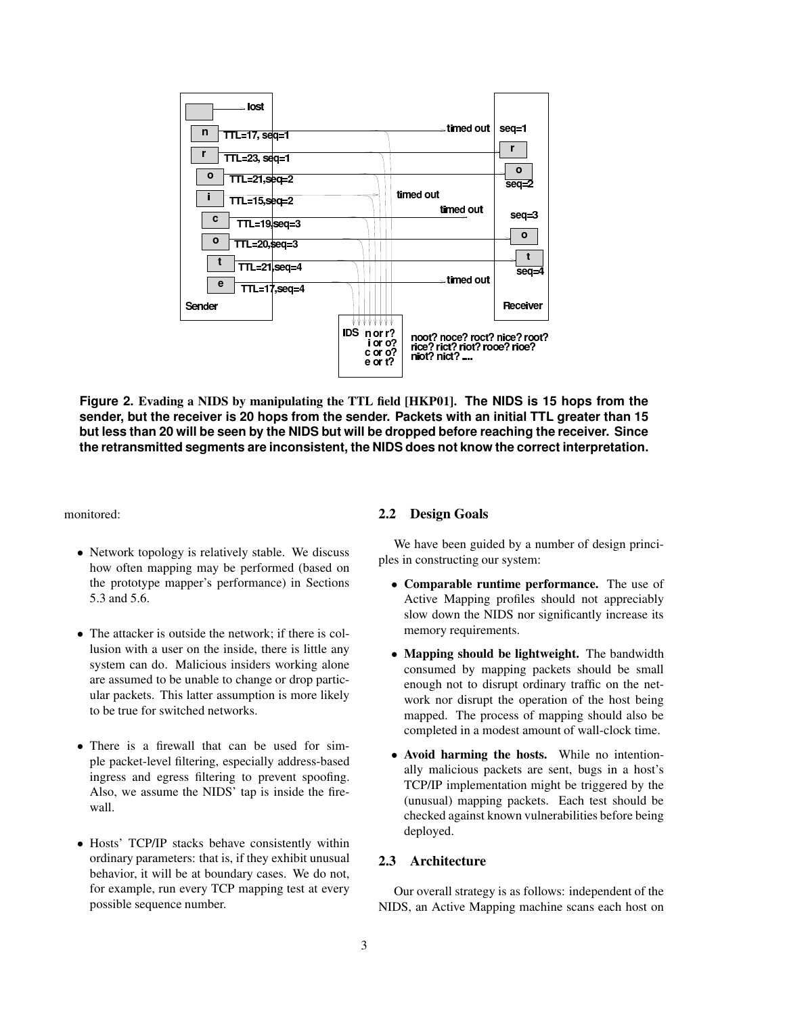

**Figure 2. Evading a NIDS by manipulating the TTL field [HKP01]. The NIDS is 15 hops from the sender, but the receiver is 20 hops from the sender. Packets with an initial TTL greater than 15** but less than 20 will be seen by the NIDS but will be dropped before reaching the receiver. Since **the retransmitted segments are inconsistent, the NIDS does not know the correct interpretation.**

monitored:

- Network topology is relatively stable. We discuss how often mapping may be performed (based on the prototype mapper's performance) in Sections 5.3 and 5.6.
- The attacker is outside the network; if there is collusion with a user on the inside, there is little any system can do. Malicious insiders working alone are assumed to be unable to change or drop particular packets. This latter assumption is more likely to be true for switched networks.
- There is a firewall that can be used for simple packet-level filtering, especially address-based ingress and egress filtering to prevent spoofing. Also, we assume the NIDS' tap is inside the firewall.
- Hosts' TCP/IP stacks behave consistently within ordinary parameters: that is, if they exhibit unusual behavior, it will be at boundary cases. We do not, for example, run every TCP mapping test at every possible sequence number.

## **2.2 Design Goals**

We have been guided by a number of design principles in constructing our system:

- **Comparable runtime performance.** The use of Active Mapping profiles should not appreciably slow down the NIDS nor significantly increase its memory requirements.
- **Mapping should be lightweight.** The bandwidth consumed by mapping packets should be small enough not to disrupt ordinary traffic on the network nor disrupt the operation of the host being mapped. The process of mapping should also be completed in a modest amount of wall-clock time.
- **Avoid harming the hosts.** While no intentionally malicious packets are sent, bugs in a host's TCP/IP implementation might be triggered by the (unusual) mapping packets. Each test should be checked against known vulnerabilities before being deployed.

## **2.3 Architecture**

Our overall strategy is as follows: independent of the NIDS, an Active Mapping machine scans each host on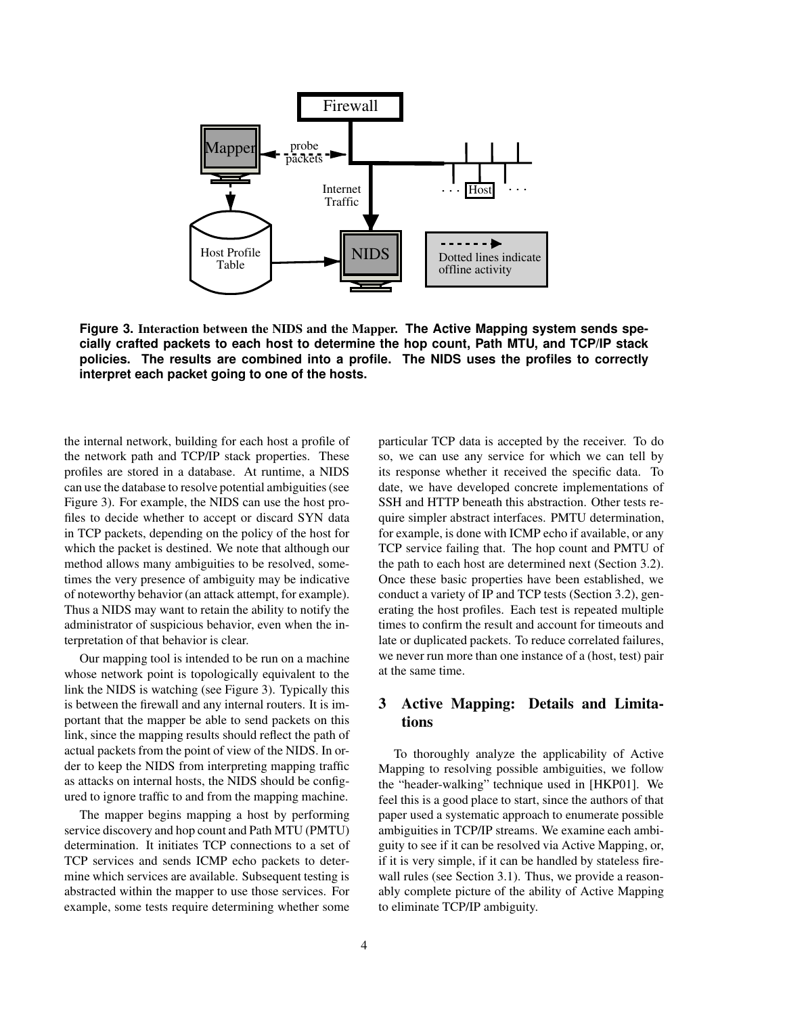

**Figure 3. Interaction between the NIDS and the Mapper. The Active Mapping system sends specially crafted packets to each host to determine the hop count, Path MTU, and TCP/IP stack policies. The results are combined into a profile. The NIDS uses the profiles to correctly interpret each packet going to one of the hosts.**

the internal network, building for each host a profile of the network path and TCP/IP stack properties. These profiles are stored in a database. At runtime, a NIDS can use the database to resolve potential ambiguities(see Figure 3). For example, the NIDS can use the host profiles to decide whether to accept or discard SYN data in TCP packets, depending on the policy of the host for which the packet is destined. We note that although our method allows many ambiguities to be resolved, sometimes the very presence of ambiguity may be indicative of noteworthy behavior (an attack attempt, for example). Thus a NIDS may want to retain the ability to notify the administrator of suspicious behavior, even when the interpretation of that behavior is clear.

Our mapping tool is intended to be run on a machine whose network point is topologically equivalent to the link the NIDS is watching (see Figure 3). Typically this is between the firewall and any internal routers. It is important that the mapper be able to send packets on this link, since the mapping results should reflect the path of actual packets from the point of view of the NIDS. In order to keep the NIDS from interpreting mapping traffic as attacks on internal hosts, the NIDS should be configured to ignore traffic to and from the mapping machine.

The mapper begins mapping a host by performing service discovery and hop count and Path MTU (PMTU) determination. It initiates TCP connections to a set of TCP services and sends ICMP echo packets to determine which services are available. Subsequent testing is abstracted within the mapper to use those services. For example, some tests require determining whether some particular TCP data is accepted by the receiver. To do so, we can use any service for which we can tell by its response whether it received the specific data. To date, we have developed concrete implementations of SSH and HTTP beneath this abstraction. Other tests require simpler abstract interfaces. PMTU determination, for example, is done with ICMP echo if available, or any TCP service failing that. The hop count and PMTU of the path to each host are determined next (Section 3.2). Once these basic properties have been established, we conduct a variety of IP and TCP tests (Section 3.2), generating the host profiles. Each test is repeated multiple times to confirm the result and account for timeouts and late or duplicated packets. To reduce correlated failures, we never run more than one instance of a (host, test) pair at the same time.

# **3 Active Mapping: Details and Limitations**

To thoroughly analyze the applicability of Active Mapping to resolving possible ambiguities, we follow the "header-walking" technique used in [HKP01]. We feel this is a good place to start, since the authors of that paper used a systematic approach to enumerate possible ambiguities in TCP/IP streams. We examine each ambiguity to see if it can be resolved via Active Mapping, or, if it is very simple, if it can be handled by stateless firewall rules (see Section 3.1). Thus, we provide a reasonably complete picture of the ability of Active Mapping to eliminate TCP/IP ambiguity.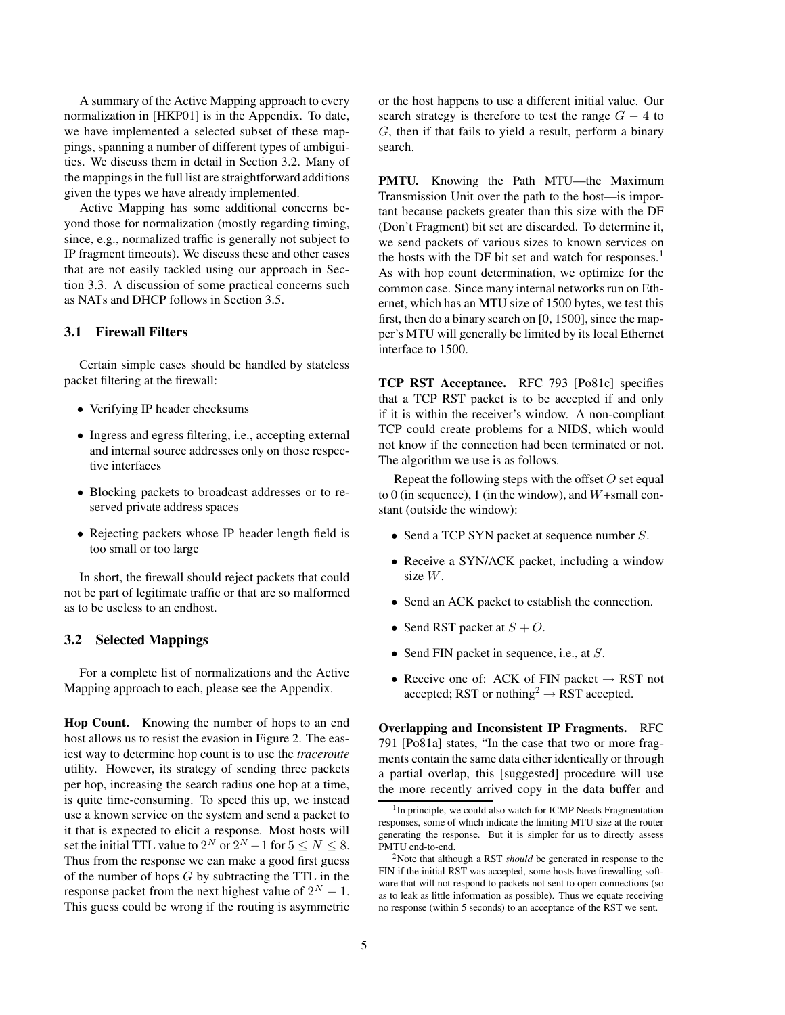A summary of the Active Mapping approach to every normalization in [HKP01] is in the Appendix. To date, we have implemented a selected subset of these mappings, spanning a number of different types of ambiguities. We discuss them in detail in Section 3.2. Many of the mappingsin the full list are straightforward additions given the types we have already implemented.

Active Mapping has some additional concerns beyond those for normalization (mostly regarding timing, since, e.g., normalized traffic is generally not subject to IP fragment timeouts). We discuss these and other cases that are not easily tackled using our approach in Section 3.3. A discussion of some practical concerns such as NATs and DHCP follows in Section 3.5.

## **3.1 Firewall Filters**

Certain simple cases should be handled by stateless packet filtering at the firewall:

- Verifying IP header checksums
- Ingress and egress filtering, i.e., accepting external and internal source addresses only on those respective interfaces
- Blocking packets to broadcast addresses or to reserved private address spaces
- Rejecting packets whose IP header length field is too small or too large

In short, the firewall should reject packets that could not be part of legitimate traffic or that are so malformed as to be useless to an endhost.

## **3.2 Selected Mappings**

For a complete list of normalizations and the Active Mapping approach to each, please see the Appendix.

**Hop Count.** Knowing the number of hops to an end host allows us to resist the evasion in Figure 2. The easiest way to determine hop count is to use the *traceroute* utility. However, its strategy of sending three packets per hop, increasing the search radius one hop at a time, is quite time-consuming. To speed this up, we instead use a known service on the system and send a packet to it that is expected to elicit a response. Most hosts will set the initial TTL value to  $2^N$  or  $2^N - 1$  for  $5 \le N \le 8$ . Thus from the response we can make a good first guess of the number of hops  $G$  by subtracting the TTL in the response packet from the next highest value of  $2^N + 1$ . This guess could be wrong if the routing is asymmetric or the host happens to use a different initial value. Our search strategy is therefore to test the range  $G - 4$  to G, then if that fails to yield a result, perform a binary search.

**PMTU.** Knowing the Path MTU—the Maximum Transmission Unit over the path to the host—is important because packets greater than this size with the DF (Don't Fragment) bit set are discarded. To determine it, we send packets of various sizes to known services on the hosts with the DF bit set and watch for responses.<sup>1</sup> As with hop count determination, we optimize for the common case. Since many internal networks run on Ethernet, which has an MTU size of 1500 bytes, we test this first, then do a binary search on  $[0, 1500]$ , since the mapper's MTU will generally be limited by its local Ethernet interface to 1500.

**TCP RST Acceptance.** RFC 793 [Po81c] specifies that a TCP RST packet is to be accepted if and only if it is within the receiver's window. A non-compliant TCP could create problems for a NIDS, which would not know if the connection had been terminated or not. The algorithm we use is as follows.

Repeat the following steps with the offset  $O$  set equal to 0 (in sequence), 1 (in the window), and  $W+$ small constant (outside the window):

- Send a TCP SYN packet at sequence number S.
- Receive a SYN/ACK packet, including a window size W.
- Send an ACK packet to establish the connection.
- Send RST packet at  $S + O$ .
- Send FIN packet in sequence, i.e., at  $S$ .
- Receive one of: ACK of FIN packet  $\rightarrow$  RST not accepted; RST or nothing<sup>2</sup>  $\rightarrow$  RST accepted.

**Overlapping and Inconsistent IP Fragments.** RFC 791 [Po81a] states, "In the case that two or more fragments contain the same data either identically or through a partial overlap, this [suggested] procedure will use the more recently arrived copy in the data buffer and

<sup>&</sup>lt;sup>1</sup> In principle, we could also watch for ICMP Needs Fragmentation responses, some of which indicate the limiting MTU size at the router generating the response. But it is simpler for us to directly assess PMTU end-to-end.

<sup>2</sup>Note that although a RST *should* be generated in response to the FIN if the initial RST was accepted, some hosts have firewalling software that will not respond to packets not sent to open connections (so as to leak as little information as possible). Thus we equate receiving no response (within 5 seconds) to an acceptance of the RST we sent.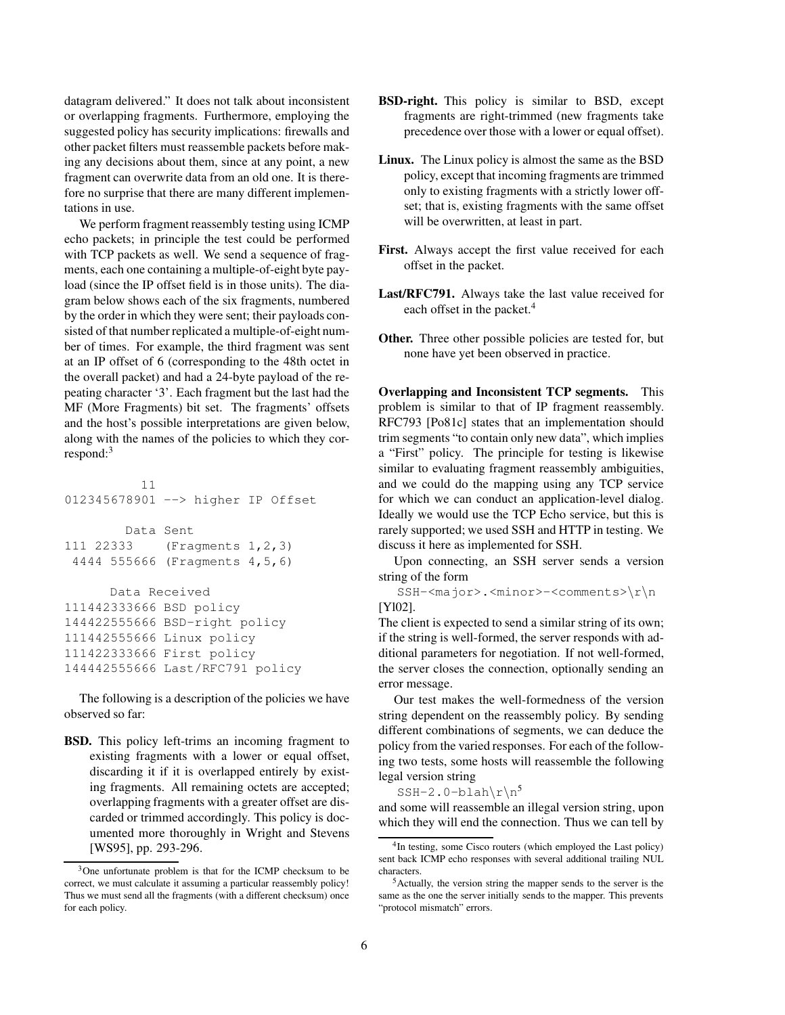datagram delivered." It does not talk about inconsistent or overlapping fragments. Furthermore, employing the suggested policy has security implications: firewalls and other packet filters must reassemble packets before making any decisions about them, since at any point, a new fragment can overwrite data from an old one. It is therefore no surprise that there are many different implementations in use.

We perform fragment reassembly testing using ICMP echo packets; in principle the test could be performed with TCP packets as well. We send a sequence of fragments, each one containing a multiple-of-eight byte payload (since the IP offset field is in those units). The diagram below shows each of the six fragments, numbered by the order in which they were sent; their payloads consisted of that number replicated a multiple-of-eight number of times. For example, the third fragment was sent at an IP offset of 6 (corresponding to the 48th octet in the overall packet) and had a 24-byte payload of the repeating character '3'. Each fragment but the last had the MF (More Fragments) bit set. The fragments' offsets and the host's possible interpretations are given below, along with the names of the policies to which they correspond:<sup>3</sup>

11 --> higher IP Offset Data Sent 22333 (Fragments 1,2,3) 555666 (Fragments 4,5,6) Data Received BSD policy BSD-right policy Linux policy First policy

144442555666 Last/RFC791 policy

The following is a description of the policies we have observed so far:

**BSD.** This policy left-trims an incoming fragment to existing fragments with a lower or equal offset, discarding it if it is overlapped entirely by existing fragments. All remaining octets are accepted; overlapping fragments with a greater offset are discarded or trimmed accordingly. This policy is documented more thoroughly in Wright and Stevens [WS95], pp. 293-296.

- **BSD-right.** This policy is similar to BSD, except fragments are right-trimmed (new fragments take precedence over those with a lower or equal offset).
- **Linux.** The Linux policy is almost the same as the BSD policy, except that incoming fragments are trimmed only to existing fragments with a strictly lower offset; that is, existing fragments with the same offset will be overwritten, at least in part.
- **First.** Always accept the first value received for each offset in the packet.
- **Last/RFC791.** Always take the last value received for each offset in the packet.<sup>4</sup>
- **Other.** Three other possible policies are tested for, but none have yet been observed in practice.

**Overlapping and Inconsistent TCP segments.** This problem is similar to that of IP fragment reassembly. RFC793 [Po81c] states that an implementation should trim segments "to contain only new data", which implies a "First" policy. The principle for testing is likewise similar to evaluating fragment reassembly ambiguities, and we could do the mapping using any TCP service for which we can conduct an application-level dialog. Ideally we would use the TCP Echo service, but this is rarely supported; we used SSH and HTTP in testing. We discuss it here as implemented for SSH.

Upon connecting, an SSH server sends a version string of the form

SSH-<major>.<minor>-<comments>\r\n [Yl02].

The client is expected to send a similar string of its own; if the string is well-formed, the server responds with additional parameters for negotiation. If not well-formed, the server closes the connection, optionally sending an error message.

Our test makes the well-formedness of the version string dependent on the reassembly policy. By sending different combinations of segments, we can deduce the policy from the varied responses. For each of the following two tests, some hosts will reassemble the following legal version string

 $SSH-2.0-blah\rfloor r\backslash n^5$ 

and some will reassemble an illegal version string, upon which they will end the connection. Thus we can tell by

<sup>&</sup>lt;sup>3</sup>One unfortunate problem is that for the ICMP checksum to be correct, we must calculate it assuming a particular reassembly policy! Thus we must send all the fragments (with a different checksum) once for each policy.

<sup>4</sup> In testing, some Cisco routers (which employed the Last policy) sent back ICMP echo responses with several additional trailing NUL characters.

<sup>5</sup>Actually, the version string the mapper sends to the server is the same as the one the server initially sends to the mapper. This prevents "protocol mismatch" errors.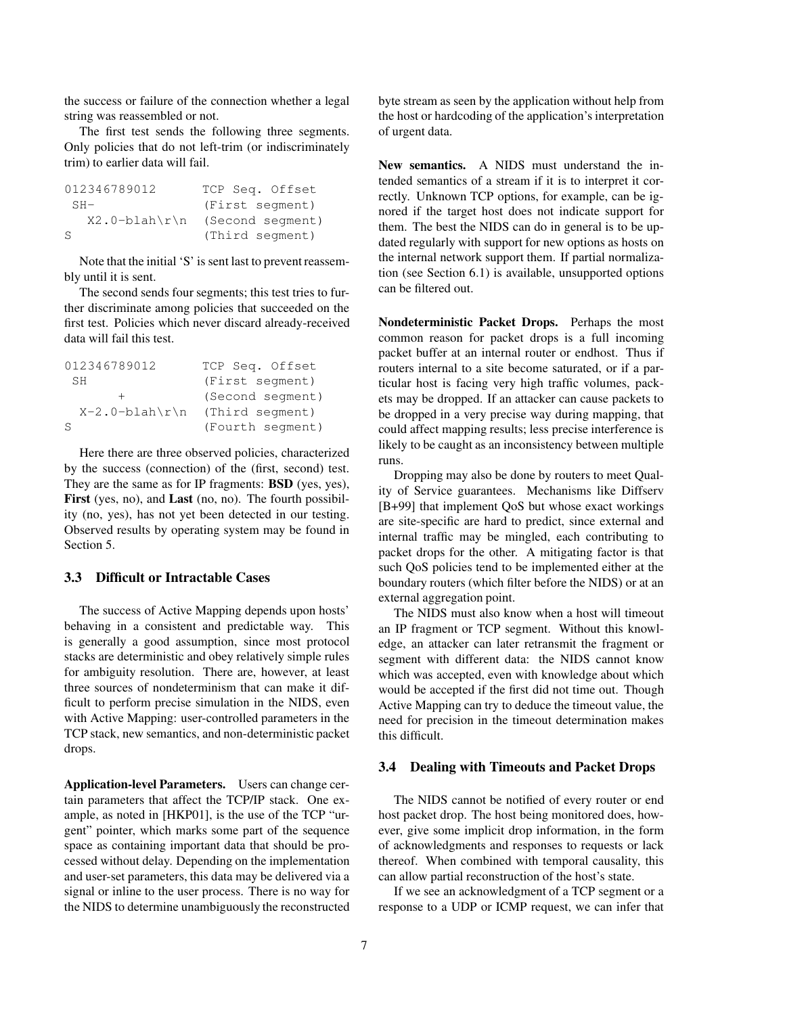the success or failure of the connection whether a legal string was reassembled or not.

The first test sends the following three segments. Only policies that do not left-trim (or indiscriminately trim) to earlier data will fail.

| 012346789012            | TCP Seq. Offset  |
|-------------------------|------------------|
| $SH-$                   | (First segment)  |
| $X2.0-blah\rrbraket{n}$ | (Second segment) |
| $\mathcal{L}$           | (Third seqment)  |

Note that the initial 'S' is sent last to prevent reassembly until it is sent.

The second sends four segments; this test tries to further discriminate among policies that succeeded on the first test. Policies which never discard already-received data will fail this test.

| 012346789012             | TCP Seq. Offset  |
|--------------------------|------------------|
| SH.                      | (First segment)  |
| $^+$                     | (Second seqment) |
| $X-2.0-blah\rrbraket{n}$ | (Third segment)  |
| S                        | (Fourth segment) |

Here there are three observed policies, characterized by the success (connection) of the (first, second) test. They are the same as for IP fragments: **BSD** (yes, yes), **First** (yes, no), and **Last** (no, no). The fourth possibility (no, yes), has not yet been detected in our testing. Observed results by operating system may be found in Section 5.

## **3.3 Difficult or Intractable Cases**

The success of Active Mapping depends upon hosts' behaving in a consistent and predictable way. This is generally a good assumption, since most protocol stacks are deterministic and obey relatively simple rules for ambiguity resolution. There are, however, at least three sources of nondeterminism that can make it difficult to perform precise simulation in the NIDS, even with Active Mapping: user-controlled parameters in the TCP stack, new semantics, and non-deterministic packet drops.

**Application-level Parameters.** Users can change certain parameters that affect the TCP/IP stack. One example, as noted in [HKP01], is the use of the TCP "urgent" pointer, which marks some part of the sequence space as containing important data that should be processed without delay. Depending on the implementation and user-set parameters, this data may be delivered via a signal or inline to the user process. There is no way for the NIDS to determine unambiguously the reconstructed byte stream as seen by the application without help from the host or hardcoding of the application's interpretation of urgent data.

**New semantics.** A NIDS must understand the intended semantics of a stream if it is to interpret it correctly. Unknown TCP options, for example, can be ignored if the target host does not indicate support for them. The best the NIDS can do in general is to be updated regularly with support for new options as hosts on the internal network support them. If partial normalization (see Section 6.1) is available, unsupported options can be filtered out.

**Nondeterministic Packet Drops.** Perhaps the most common reason for packet drops is a full incoming packet buffer at an internal router or endhost. Thus if routers internal to a site become saturated, or if a particular host is facing very high traffic volumes, packets may be dropped. If an attacker can cause packets to be dropped in a very precise way during mapping, that could affect mapping results; less precise interference is likely to be caught as an inconsistency between multiple runs.

Dropping may also be done by routers to meet Quality of Service guarantees. Mechanisms like Diffserv [B+99] that implement QoS but whose exact workings are site-specific are hard to predict, since external and internal traffic may be mingled, each contributing to packet drops for the other. A mitigating factor is that such QoS policies tend to be implemented either at the boundary routers (which filter before the NIDS) or at an external aggregation point.

The NIDS must also know when a host will timeout an IP fragment or TCP segment. Without this knowledge, an attacker can later retransmit the fragment or segment with different data: the NIDS cannot know which was accepted, even with knowledge about which would be accepted if the first did not time out. Though Active Mapping can try to deduce the timeout value, the need for precision in the timeout determination makes this difficult.

#### **3.4 Dealing with Timeouts and Packet Drops**

The NIDS cannot be notified of every router or end host packet drop. The host being monitored does, however, give some implicit drop information, in the form of acknowledgments and responses to requests or lack thereof. When combined with temporal causality, this can allow partial reconstruction of the host's state.

If we see an acknowledgment of a TCP segment or a response to a UDP or ICMP request, we can infer that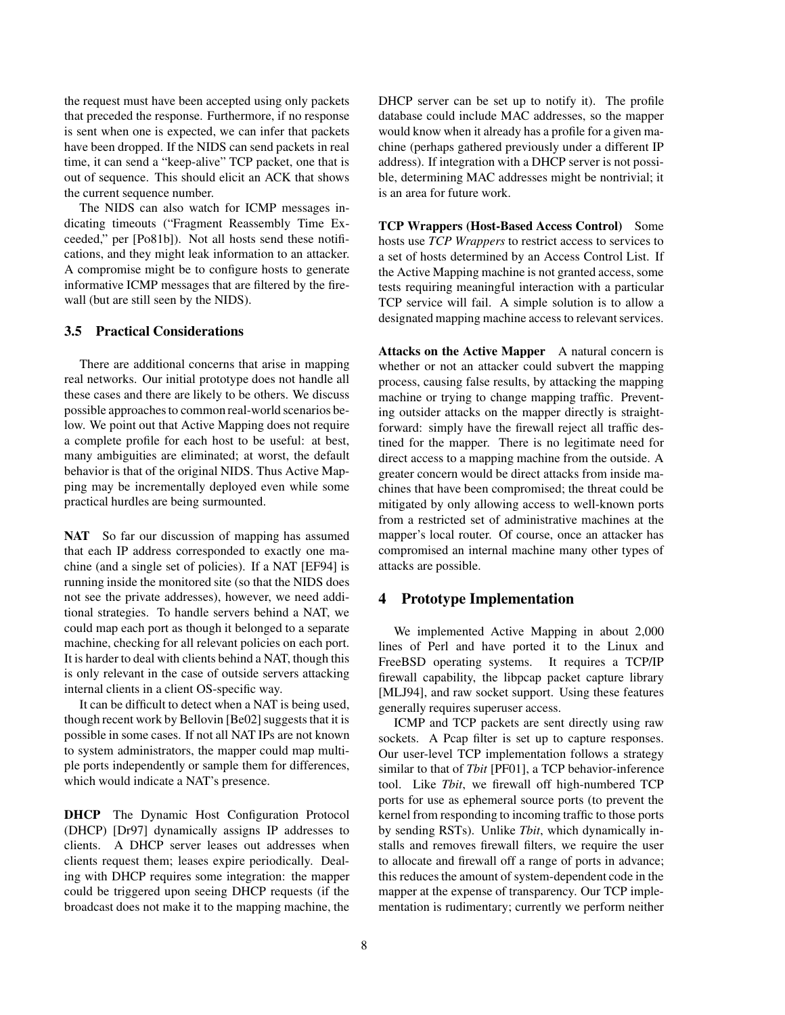the request must have been accepted using only packets that preceded the response. Furthermore, if no response is sent when one is expected, we can infer that packets have been dropped. If the NIDS can send packets in real time, it can send a "keep-alive" TCP packet, one that is out of sequence. This should elicit an ACK that shows the current sequence number.

The NIDS can also watch for ICMP messages indicating timeouts ("Fragment Reassembly Time Exceeded," per [Po81b]). Not all hosts send these notifications, and they might leak information to an attacker. A compromise might be to configure hosts to generate informative ICMP messages that are filtered by the firewall (but are still seen by the NIDS).

#### **3.5 Practical Considerations**

There are additional concerns that arise in mapping real networks. Our initial prototype does not handle all these cases and there are likely to be others. We discuss possible approaches to common real-world scenarios below. We point out that Active Mapping does not require a complete profile for each host to be useful: at best, many ambiguities are eliminated; at worst, the default behavior is that of the original NIDS. Thus Active Mapping may be incrementally deployed even while some practical hurdles are being surmounted.

NAT So far our discussion of mapping has assumed that each IP address corresponded to exactly one machine (and a single set of policies). If a NAT [EF94] is running inside the monitored site (so that the NIDS does not see the private addresses), however, we need additional strategies. To handle servers behind a NAT, we could map each port as though it belonged to a separate machine, checking for all relevant policies on each port. It is harder to deal with clients behind a NAT, though this is only relevant in the case of outside servers attacking internal clients in a client OS-specific way.

It can be difficult to detect when a NAT is being used, though recent work by Bellovin [Be02] suggests that it is possible in some cases. If not all NAT IPs are not known to system administrators, the mapper could map multiple ports independently or sample them for differences, which would indicate a NAT's presence.

**DHCP** The Dynamic Host Configuration Protocol (DHCP) [Dr97] dynamically assigns IP addresses to clients. A DHCP server leases out addresses when clients request them; leases expire periodically. Dealing with DHCP requires some integration: the mapper could be triggered upon seeing DHCP requests (if the broadcast does not make it to the mapping machine, the DHCP server can be set up to notify it). The profile database could include MAC addresses, so the mapper would know when it already has a profile for a given machine (perhaps gathered previously under a different IP address). If integration with a DHCP server is not possible, determining MAC addresses might be nontrivial; it is an area for future work.

**TCP Wrappers (Host-Based Access Control)** Some hosts use *TCP Wrappers* to restrict access to services to a set of hosts determined by an Access Control List. If the Active Mapping machine is not granted access, some tests requiring meaningful interaction with a particular TCP service will fail. A simple solution is to allow a designated mapping machine access to relevant services.

**Attacks on the Active Mapper** A natural concern is whether or not an attacker could subvert the mapping process, causing false results, by attacking the mapping machine or trying to change mapping traffic. Preventing outsider attacks on the mapper directly is straightforward: simply have the firewall reject all traffic destined for the mapper. There is no legitimate need for direct access to a mapping machine from the outside. A greater concern would be direct attacks from inside machines that have been compromised; the threat could be mitigated by only allowing access to well-known ports from a restricted set of administrative machines at the mapper's local router. Of course, once an attacker has compromised an internal machine many other types of attacks are possible.

#### **4 Prototype Implementation**

We implemented Active Mapping in about 2,000 lines of Perl and have ported it to the Linux and FreeBSD operating systems. It requires a TCP/IP firewall capability, the libpcap packet capture library [MLJ94], and raw socket support. Using these features generally requires superuser access.

ICMP and TCP packets are sent directly using raw sockets. A Pcap filter is set up to capture responses. Our user-level TCP implementation follows a strategy similar to that of *Tbit* [PF01], a TCP behavior-inference tool. Like *Tbit*, we firewall off high-numbered TCP ports for use as ephemeral source ports (to prevent the kernel from responding to incoming traffic to those ports by sending RSTs). Unlike *Tbit*, which dynamically installs and removes firewall filters, we require the user to allocate and firewall off a range of ports in advance; this reduces the amount of system-dependent code in the mapper at the expense of transparency. Our TCP implementation is rudimentary; currently we perform neither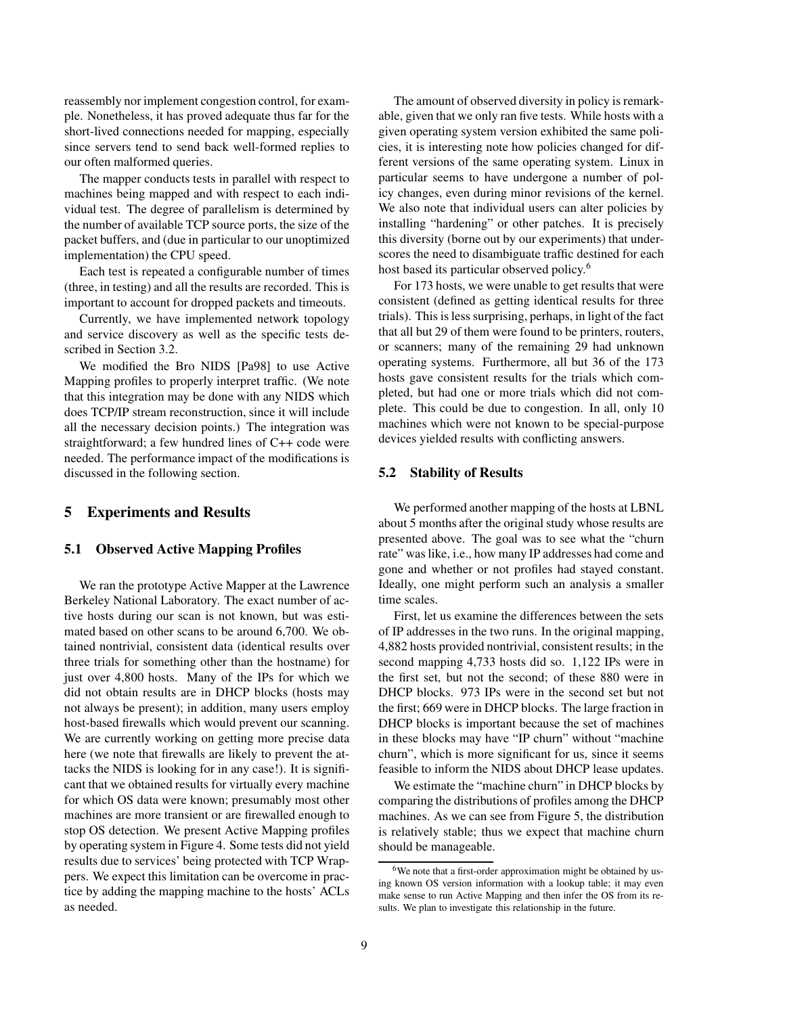reassembly nor implement congestion control, for example. Nonetheless, it has proved adequate thus far for the short-lived connections needed for mapping, especially since servers tend to send back well-formed replies to our often malformed queries.

The mapper conducts tests in parallel with respect to machines being mapped and with respect to each individual test. The degree of parallelism is determined by the number of available TCP source ports, the size of the packet buffers, and (due in particular to our unoptimized implementation) the CPU speed.

Each test is repeated a configurable number of times (three, in testing) and all the results are recorded. This is important to account for dropped packets and timeouts.

Currently, we have implemented network topology and service discovery as well as the specific tests described in Section 3.2.

We modified the Bro NIDS [Pa98] to use Active Mapping profiles to properly interpret traffic. (We note that this integration may be done with any NIDS which does TCP/IP stream reconstruction, since it will include all the necessary decision points.) The integration was straightforward; a few hundred lines of C++ code were needed. The performance impact of the modifications is discussed in the following section.

## **5 Experiments and Results**

#### **5.1 Observed Active Mapping Profiles**

We ran the prototype Active Mapper at the Lawrence Berkeley National Laboratory. The exact number of active hosts during our scan is not known, but was estimated based on other scans to be around 6,700. We obtained nontrivial, consistent data (identical results over three trials for something other than the hostname) for just over 4,800 hosts. Many of the IPs for which we did not obtain results are in DHCP blocks (hosts may not always be present); in addition, many users employ host-based firewalls which would prevent our scanning. We are currently working on getting more precise data here (we note that firewalls are likely to prevent the attacks the NIDS is looking for in any case!). It is significant that we obtained results for virtually every machine for which OS data were known; presumably most other machines are more transient or are firewalled enough to stop OS detection. We present Active Mapping profiles by operating system in Figure 4. Some tests did not yield results due to services' being protected with TCP Wrappers. We expect this limitation can be overcome in practice by adding the mapping machine to the hosts' ACLs as needed.

The amount of observed diversity in policy is remarkable, given that we only ran five tests. While hosts with a given operating system version exhibited the same policies, it is interesting note how policies changed for different versions of the same operating system. Linux in particular seems to have undergone a number of policy changes, even during minor revisions of the kernel. We also note that individual users can alter policies by installing "hardening" or other patches. It is precisely this diversity (borne out by our experiments) that underscores the need to disambiguate traffic destined for each host based its particular observed policy.<sup>6</sup>

For 173 hosts, we were unable to get results that were consistent (defined as getting identical results for three trials). This is less surprising, perhaps, in light of the fact that all but 29 of them were found to be printers, routers, or scanners; many of the remaining 29 had unknown operating systems. Furthermore, all but 36 of the 173 hosts gave consistent results for the trials which completed, but had one or more trials which did not complete. This could be due to congestion. In all, only 10 machines which were not known to be special-purpose devices yielded results with conflicting answers.

#### **5.2 Stability of Results**

We performed another mapping of the hosts at LBNL about 5 months after the original study whose results are presented above. The goal was to see what the "churn rate" was like, i.e., how many IP addresses had come and gone and whether or not profiles had stayed constant. Ideally, one might perform such an analysis a smaller time scales.

First, let us examine the differences between the sets of IP addresses in the two runs. In the original mapping, 4,882 hosts provided nontrivial, consistent results; in the second mapping 4,733 hosts did so. 1,122 IPs were in the first set, but not the second; of these 880 were in DHCP blocks. 973 IPs were in the second set but not the first; 669 were in DHCP blocks. The large fraction in DHCP blocks is important because the set of machines in these blocks may have "IP churn" without "machine churn", which is more significant for us, since it seems feasible to inform the NIDS about DHCP lease updates.

We estimate the "machine churn" in DHCP blocks by comparing the distributions of profiles among the DHCP machines. As we can see from Figure 5, the distribution is relatively stable; thus we expect that machine churn should be manageable.

<sup>6</sup>We note that a first-order approximation might be obtained by using known OS version information with a lookup table; it may even make sense to run Active Mapping and then infer the OS from its results. We plan to investigate this relationship in the future.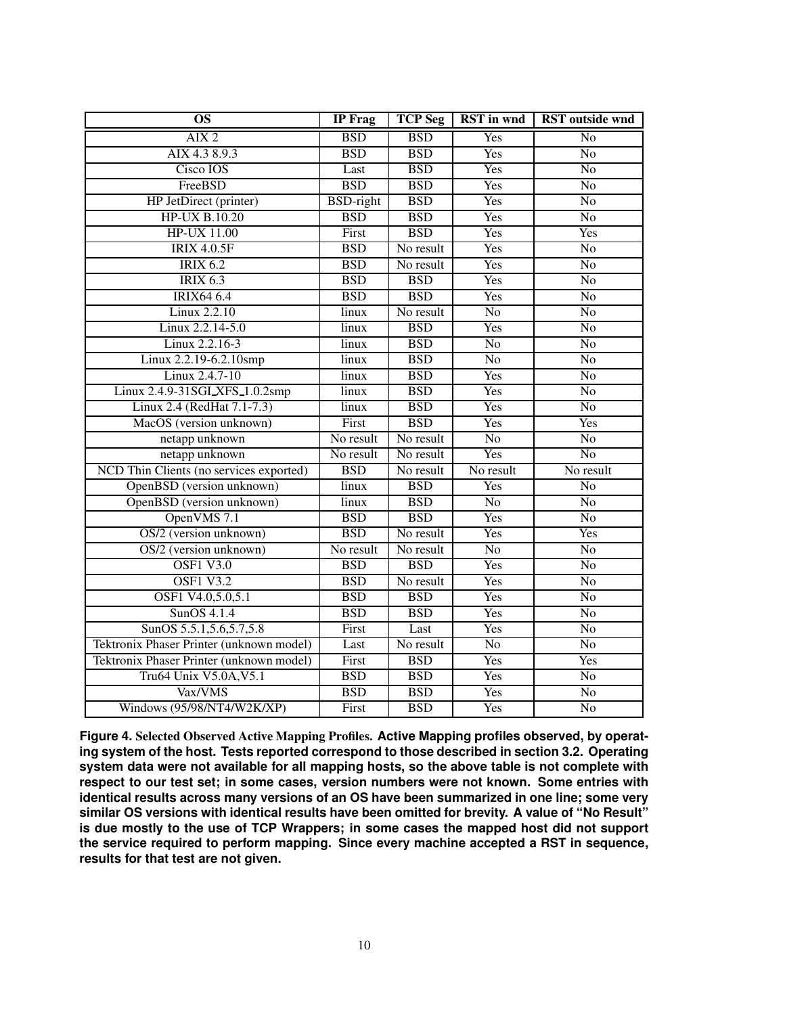| $\overline{OS}$                          | <b>IP</b> Frag       | <b>TCP Seg</b> | <b>RST</b> in wnd | <b>RST</b> outside wnd |
|------------------------------------------|----------------------|----------------|-------------------|------------------------|
| $\overline{AIX}$ 2                       | <b>BSD</b>           | <b>BSD</b>     | Yes               | N <sub>o</sub>         |
| AIX 4.3 8.9.3                            | <b>BSD</b>           | <b>BSD</b>     | Yes               | N <sub>o</sub>         |
| Cisco IOS                                | Last                 | <b>BSD</b>     | Yes               | N <sub>o</sub>         |
| FreeBSD                                  | <b>BSD</b>           | <b>BSD</b>     | Yes               | $\overline{No}$        |
| HP JetDirect (printer)                   | <b>BSD-right</b>     | <b>BSD</b>     | Yes               | N <sub>o</sub>         |
| <b>HP-UX B.10.20</b>                     | <b>BSD</b>           | <b>BSD</b>     | Yes               | N <sub>o</sub>         |
| <b>HP-UX 11.00</b>                       | First                | <b>BSD</b>     | Yes               | Yes                    |
| <b>IRIX 4.0.5F</b>                       | <b>BSD</b>           | No result      | Yes               | N <sub>o</sub>         |
| <b>IRIX 6.2</b>                          | <b>BSD</b>           | No result      | Yes               | $\overline{No}$        |
| <b>IRIX 6.3</b>                          | <b>BSD</b>           | <b>BSD</b>     | Yes               | N <sub>o</sub>         |
| <b>IRIX646.4</b>                         | <b>BSD</b>           | <b>BSD</b>     | Yes               | N <sub>o</sub>         |
| Linux 2.2.10                             | $\overline{\lim}$ ux | No result      | N <sub>o</sub>    | N <sub>o</sub>         |
| Linux 2.2.14-5.0                         | linux                | <b>BSD</b>     | Yes               | $\overline{No}$        |
| Linux 2.2.16-3                           | linux                | <b>BSD</b>     | $\overline{No}$   | No                     |
| Linux 2.2.19-6.2.10smp                   | linux                | <b>BSD</b>     | N <sub>o</sub>    | N <sub>o</sub>         |
| Linux 2.4.7-10                           | linux                | <b>BSD</b>     | Yes               | N <sub>o</sub>         |
| Linux 2.4.9-31SGI_XFS_1.0.2smp           | linux                | <b>BSD</b>     | Yes               | $\overline{No}$        |
| Linux 2.4 (RedHat 7.1-7.3)               | linux                | <b>BSD</b>     | Yes               | N <sub>o</sub>         |
| MacOS (version unknown)                  | First                | <b>BSD</b>     | Yes               | Yes                    |
| netapp unknown                           | No result            | No result      | N <sub>o</sub>    | $\overline{No}$        |
| netapp unknown                           | No result            | No result      | Yes               | N <sub>o</sub>         |
| NCD Thin Clients (no services exported)  | <b>BSD</b>           | No result      | No result         | No result              |
| OpenBSD (version unknown)                | linux                | <b>BSD</b>     | Yes               | N <sub>o</sub>         |
| OpenBSD (version unknown)                | linux                | <b>BSD</b>     | N <sub>o</sub>    | N <sub>o</sub>         |
| OpenVMS 7.1                              | <b>BSD</b>           | <b>BSD</b>     | Yes               | N <sub>o</sub>         |
| OS/2 (version unknown)                   | <b>BSD</b>           | No result      | Yes               | Yes                    |
| OS/2 (version unknown)                   | No result            | No result      | $\overline{No}$   | $\overline{No}$        |
| <b>OSF1 V3.0</b>                         | <b>BSD</b>           | <b>BSD</b>     | Yes               | N <sub>o</sub>         |
| <b>OSF1 V3.2</b>                         | <b>BSD</b>           | No result      | Yes               | N <sub>o</sub>         |
| OSF1 V4.0,5.0,5.1                        | <b>BSD</b>           | <b>BSD</b>     | Yes               | $\overline{No}$        |
| SunOS 4.1.4                              | <b>BSD</b>           | <b>BSD</b>     | Yes               | $\overline{No}$        |
| SunOS 5.5.1, 5.6, 5.7, 5.8               | First                | Last           | Yes               | N <sub>o</sub>         |
| Tektronix Phaser Printer (unknown model) | Last                 | No result      | N <sub>o</sub>    | N <sub>o</sub>         |
| Tektronix Phaser Printer (unknown model) | First                | <b>BSD</b>     | Yes               | Yes                    |
| Tru64 Unix V5.0A, V5.1                   | <b>BSD</b>           | <b>BSD</b>     | Yes               | N <sub>o</sub>         |
| Vax/VMS                                  | <b>BSD</b>           | <b>BSD</b>     | Yes               | $\overline{No}$        |
| Windows (95/98/NT4/W2K/XP)               | First                | <b>BSD</b>     | Yes               | $\overline{No}$        |

**Figure 4. Selected Observed Active Mapping Profiles. Active Mapping profiles observed, by operating system of the host. Tests reported correspond to those described in section 3.2. Operating system data were not available for all mapping hosts, so the above table is not complete with respect to our test set; in some cases, version numbers were not known. Some entries with identical results across many versions of an OS have been summarized in one line; some very similar OS versions with identical results have been omitted for brevity. A value of "No Result" is due mostly to the use of TCP Wrappers; in some cases the mapped host did not support the service required to perform mapping. Since every machine accepted a RST in sequence, results for that test are not given.**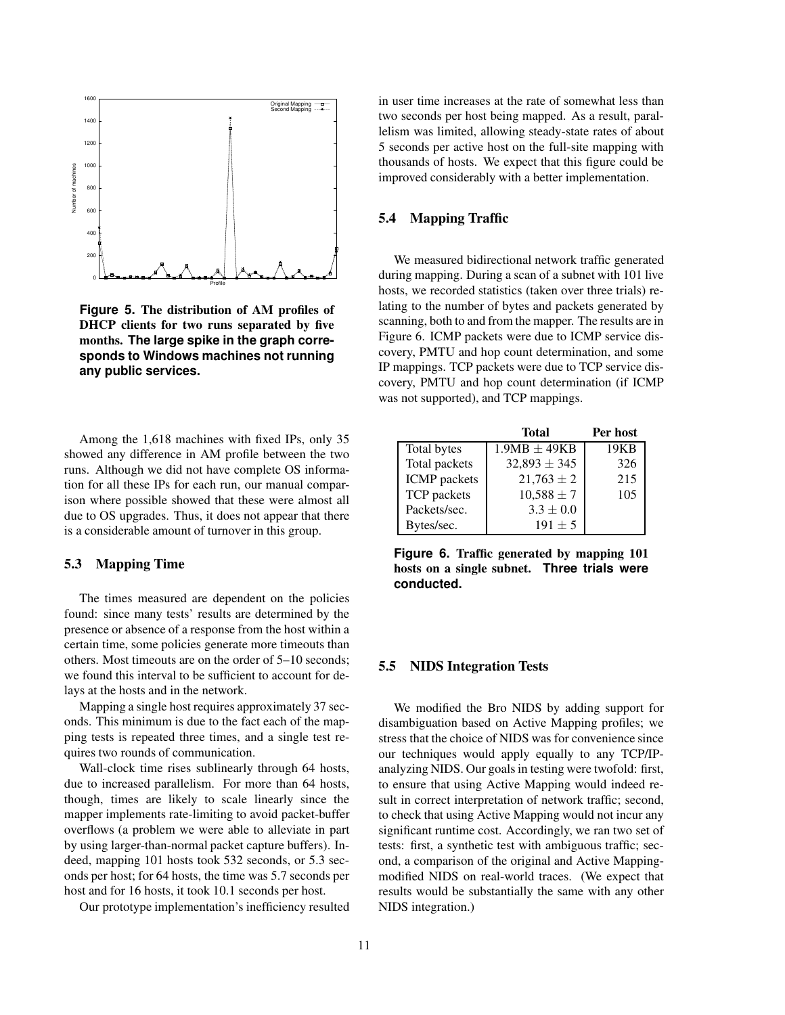

**Figure 5. The distribution of AM profiles of DHCP clients for two runs separated by five months. The large spike in the graph corresponds to Windows machines not running any public services.**

Among the 1,618 machines with fixed IPs, only 35 showed any difference in AM profile between the two runs. Although we did not have complete OS information for all these IPs for each run, our manual comparison where possible showed that these were almost all due to OS upgrades. Thus, it does not appear that there is a considerable amount of turnover in this group.

#### **5.3 Mapping Time**

The times measured are dependent on the policies found: since many tests' results are determined by the presence or absence of a response from the host within a certain time, some policies generate more timeouts than others. Most timeouts are on the order of 5–10 seconds; we found this interval to be sufficient to account for delays at the hosts and in the network.

Mapping a single host requires approximately 37 seconds. This minimum is due to the fact each of the mapping tests is repeated three times, and a single test requires two rounds of communication.

Wall-clock time rises sublinearly through 64 hosts, due to increased parallelism. For more than 64 hosts, though, times are likely to scale linearly since the mapper implements rate-limiting to avoid packet-buffer overflows (a problem we were able to alleviate in part by using larger-than-normal packet capture buffers). Indeed, mapping 101 hosts took 532 seconds, or 5.3 seconds per host; for 64 hosts, the time was 5.7 seconds per host and for 16 hosts, it took 10.1 seconds per host.

Our prototype implementation's inefficiency resulted

in user time increases at the rate of somewhat less than two seconds per host being mapped. As a result, parallelism was limited, allowing steady-state rates of about 5 seconds per active host on the full-site mapping with thousands of hosts. We expect that this figure could be improved considerably with a better implementation.

## **5.4 Mapping Traffic**

We measured bidirectional network traffic generated during mapping. During a scan of a subnet with 101 live hosts, we recorded statistics (taken over three trials) relating to the number of bytes and packets generated by scanning, both to and from the mapper. The results are in Figure 6. ICMP packets were due to ICMP service discovery, PMTU and hop count determination, and some IP mappings. TCP packets were due to TCP service discovery, PMTU and hop count determination (if ICMP was not supported), and TCP mappings.

|                     | Total            | Per host |
|---------------------|------------------|----------|
| Total bytes         | $1.9MB \pm 49KB$ | 19KB     |
| Total packets       | $32,893 \pm 345$ | 326      |
| <b>ICMP</b> packets | $21,763 \pm 2$   | 215      |
| TCP packets         | $10,588 \pm 7$   | 105      |
| Packets/sec.        | $3.3 \pm 0.0$    |          |
| Bytes/sec.          | $191 \pm 5$      |          |

**Figure 6. Traffic generated by mapping 101 hosts on a single subnet. Three trials were conducted.**

#### **5.5 NIDS Integration Tests**

We modified the Bro NIDS by adding support for disambiguation based on Active Mapping profiles; we stress that the choice of NIDS was for convenience since our techniques would apply equally to any TCP/IPanalyzing NIDS. Our goals in testing were twofold: first, to ensure that using Active Mapping would indeed result in correct interpretation of network traffic; second, to check that using Active Mapping would not incur any significant runtime cost. Accordingly, we ran two set of tests: first, a synthetic test with ambiguous traffic; second, a comparison of the original and Active Mappingmodified NIDS on real-world traces. (We expect that results would be substantially the same with any other NIDS integration.)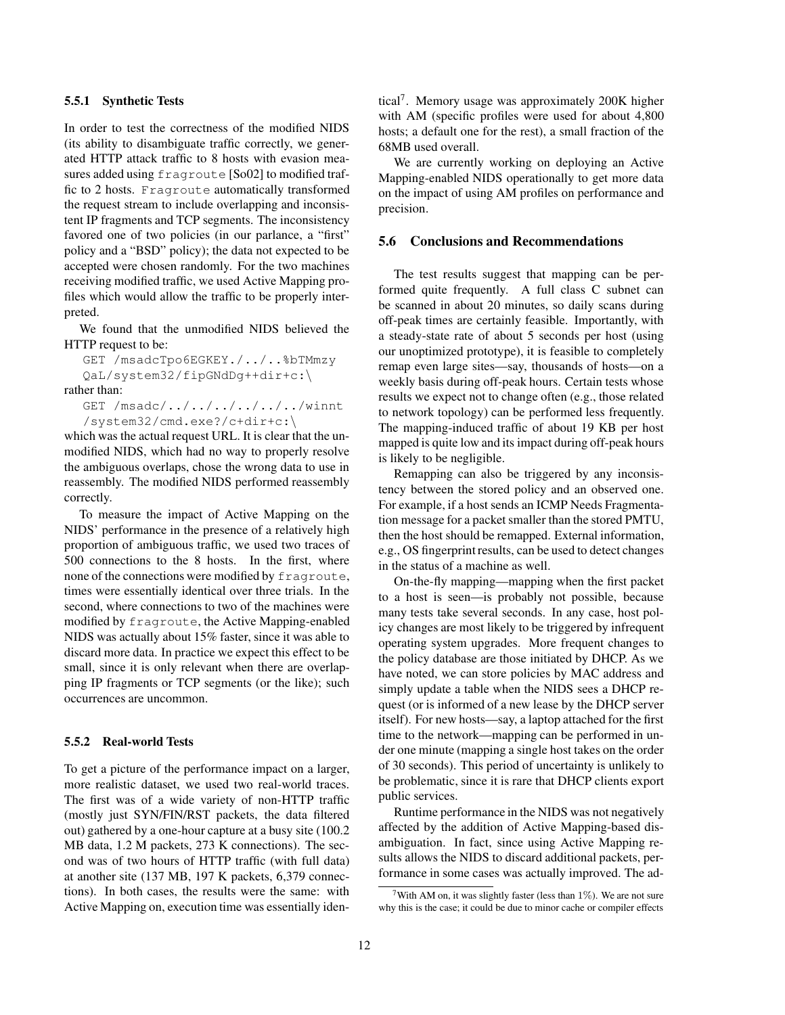#### **5.5.1 Synthetic Tests**

In order to test the correctness of the modified NIDS (its ability to disambiguate traffic correctly, we generated HTTP attack traffic to 8 hosts with evasion measures added using fragroute [So02] to modified traffic to 2 hosts. Fragroute automatically transformed the request stream to include overlapping and inconsistent IP fragments and TCP segments. The inconsistency favored one of two policies (in our parlance, a "first" policy and a "BSD" policy); the data not expected to be accepted were chosen randomly. For the two machines receiving modified traffic, we used Active Mapping profiles which would allow the traffic to be properly interpreted.

We found that the unmodified NIDS believed the HTTP request to be:

GET /msadcTpo6EGKEY./../..%bTMmzy QaL/system32/fipGNdDg++dir+c:\ rather than:

GET /msadc/../../../../../../winnt /system32/cmd.exe?/c+dir+c:\

which was the actual request URL. It is clear that the unmodified NIDS, which had no way to properly resolve the ambiguous overlaps, chose the wrong data to use in reassembly. The modified NIDS performed reassembly correctly.

To measure the impact of Active Mapping on the NIDS' performance in the presence of a relatively high proportion of ambiguous traffic, we used two traces of 500 connections to the 8 hosts. In the first, where none of the connections were modified by fragroute, times were essentially identical over three trials. In the second, where connections to two of the machines were modified by fragroute, the Active Mapping-enabled NIDS was actually about 15% faster, since it was able to discard more data. In practice we expect this effect to be small, since it is only relevant when there are overlapping IP fragments or TCP segments (or the like); such occurrences are uncommon.

#### **5.5.2 Real-world Tests**

To get a picture of the performance impact on a larger, more realistic dataset, we used two real-world traces. The first was of a wide variety of non-HTTP traffic (mostly just SYN/FIN/RST packets, the data filtered out) gathered by a one-hour capture at a busy site (100.2 MB data, 1.2 M packets, 273 K connections). The second was of two hours of HTTP traffic (with full data) at another site (137 MB, 197 K packets, 6,379 connections). In both cases, the results were the same: with Active Mapping on, execution time was essentially iden-

tical<sup>7</sup>. Memory usage was approximately 200K higher with AM (specific profiles were used for about 4,800 hosts; a default one for the rest), a small fraction of the 68MB used overall.

We are currently working on deploying an Active Mapping-enabled NIDS operationally to get more data on the impact of using AM profiles on performance and precision.

#### **5.6 Conclusions and Recommendations**

The test results suggest that mapping can be performed quite frequently. A full class C subnet can be scanned in about 20 minutes, so daily scans during off-peak times are certainly feasible. Importantly, with a steady-state rate of about 5 seconds per host (using our unoptimized prototype), it is feasible to completely remap even large sites—say, thousands of hosts—on a weekly basis during off-peak hours. Certain tests whose results we expect not to change often (e.g., those related to network topology) can be performed less frequently. The mapping-induced traffic of about 19 KB per host mapped is quite low and its impact during off-peak hours is likely to be negligible.

Remapping can also be triggered by any inconsistency between the stored policy and an observed one. For example, if a host sends an ICMP Needs Fragmentation message for a packet smaller than the stored PMTU, then the host should be remapped. External information, e.g., OS fingerprint results, can be used to detect changes in the status of a machine as well.

On-the-fly mapping—mapping when the first packet to a host is seen—is probably not possible, because many tests take several seconds. In any case, host policy changes are most likely to be triggered by infrequent operating system upgrades. More frequent changes to the policy database are those initiated by DHCP. As we have noted, we can store policies by MAC address and simply update a table when the NIDS sees a DHCP request (or is informed of a new lease by the DHCP server itself). For new hosts—say, a laptop attached for the first time to the network—mapping can be performed in under one minute (mapping a single host takes on the order of 30 seconds). This period of uncertainty is unlikely to be problematic, since it is rare that DHCP clients export public services.

Runtime performance in the NIDS was not negatively affected by the addition of Active Mapping-based disambiguation. In fact, since using Active Mapping results allows the NIDS to discard additional packets, performance in some cases was actually improved. The ad-

<sup>&</sup>lt;sup>7</sup>With AM on, it was slightly faster (less than  $1\%$ ). We are not sure why this is the case; it could be due to minor cache or compiler effects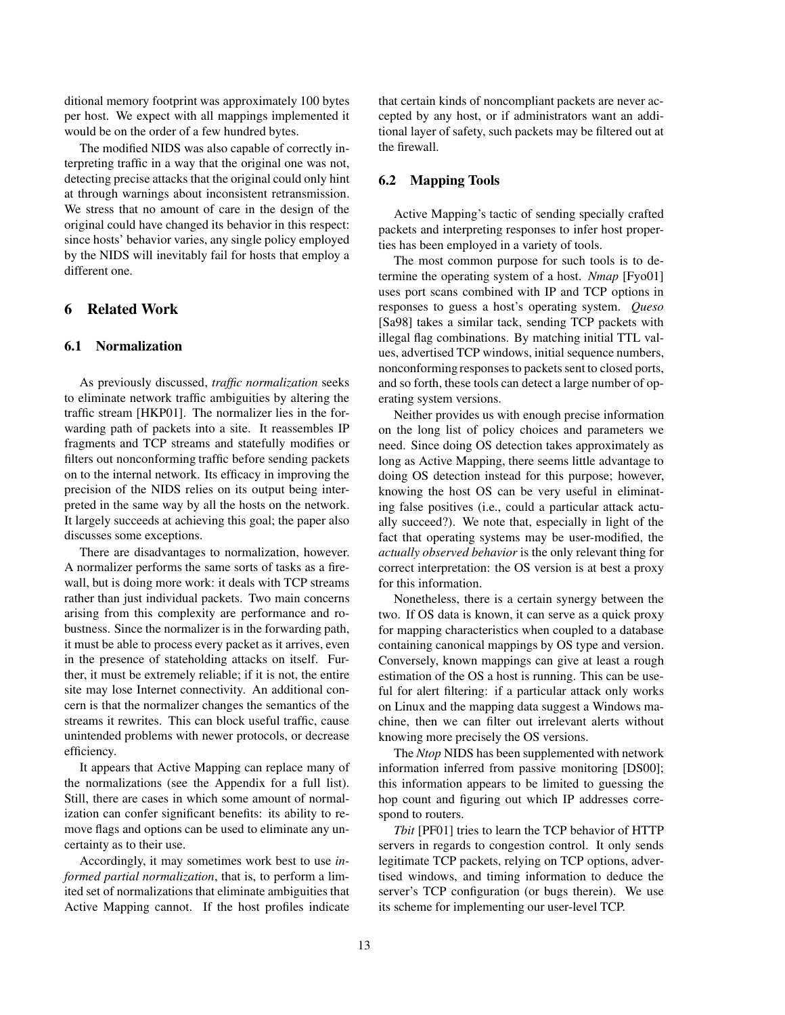ditional memory footprint was approximately 100 bytes per host. We expect with all mappings implemented it would be on the order of a few hundred bytes.

The modified NIDS was also capable of correctly interpreting traffic in a way that the original one was not, detecting precise attacks that the original could only hint at through warnings about inconsistent retransmission. We stress that no amount of care in the design of the original could have changed its behavior in this respect: since hosts' behavior varies, any single policy employed by the NIDS will inevitably fail for hosts that employ a different one.

## **6 Related Work**

## **6.1 Normalization**

As previously discussed, *traffic normalization* seeks to eliminate network traffic ambiguities by altering the traffic stream [HKP01]. The normalizer lies in the forwarding path of packets into a site. It reassembles IP fragments and TCP streams and statefully modifies or filters out nonconforming traffic before sending packets on to the internal network. Its efficacy in improving the precision of the NIDS relies on its output being interpreted in the same way by all the hosts on the network. It largely succeeds at achieving this goal; the paper also discusses some exceptions.

There are disadvantages to normalization, however. A normalizer performs the same sorts of tasks as a firewall, but is doing more work: it deals with TCP streams rather than just individual packets. Two main concerns arising from this complexity are performance and robustness. Since the normalizer is in the forwarding path, it must be able to process every packet as it arrives, even in the presence of stateholding attacks on itself. Further, it must be extremely reliable; if it is not, the entire site may lose Internet connectivity. An additional concern is that the normalizer changes the semantics of the streams it rewrites. This can block useful traffic, cause unintended problems with newer protocols, or decrease efficiency.

It appears that Active Mapping can replace many of the normalizations (see the Appendix for a full list). Still, there are cases in which some amount of normalization can confer significant benefits: its ability to remove flags and options can be used to eliminate any uncertainty as to their use.

Accordingly, it may sometimes work best to use *informed partial normalization*, that is, to perform a limited set of normalizations that eliminate ambiguities that Active Mapping cannot. If the host profiles indicate

that certain kinds of noncompliant packets are never accepted by any host, or if administrators want an additional layer of safety, such packets may be filtered out at the firewall.

#### **6.2 Mapping Tools**

Active Mapping's tactic of sending specially crafted packets and interpreting responses to infer host properties has been employed in a variety of tools.

The most common purpose for such tools is to determine the operating system of a host. *Nmap* [Fyo01] uses port scans combined with IP and TCP options in responses to guess a host's operating system. *Queso* [Sa98] takes a similar tack, sending TCP packets with illegal flag combinations. By matching initial TTL values, advertised TCP windows, initial sequence numbers, nonconforming responses to packets sent to closed ports, and so forth, these tools can detect a large number of operating system versions.

Neither provides us with enough precise information on the long list of policy choices and parameters we need. Since doing OS detection takes approximately as long as Active Mapping, there seems little advantage to doing OS detection instead for this purpose; however, knowing the host OS can be very useful in eliminating false positives (i.e., could a particular attack actually succeed?). We note that, especially in light of the fact that operating systems may be user-modified, the *actually observed behavior* is the only relevant thing for correct interpretation: the OS version is at best a proxy for this information.

Nonetheless, there is a certain synergy between the two. If OS data is known, it can serve as a quick proxy for mapping characteristics when coupled to a database containing canonical mappings by OS type and version. Conversely, known mappings can give at least a rough estimation of the OS a host is running. This can be useful for alert filtering: if a particular attack only works on Linux and the mapping data suggest a Windows machine, then we can filter out irrelevant alerts without knowing more precisely the OS versions.

The *Ntop* NIDS has been supplemented with network information inferred from passive monitoring [DS00]; this information appears to be limited to guessing the hop count and figuring out which IP addresses correspond to routers.

*Tbit* [PF01] tries to learn the TCP behavior of HTTP servers in regards to congestion control. It only sends legitimate TCP packets, relying on TCP options, advertised windows, and timing information to deduce the server's TCP configuration (or bugs therein). We use its scheme for implementing our user-level TCP.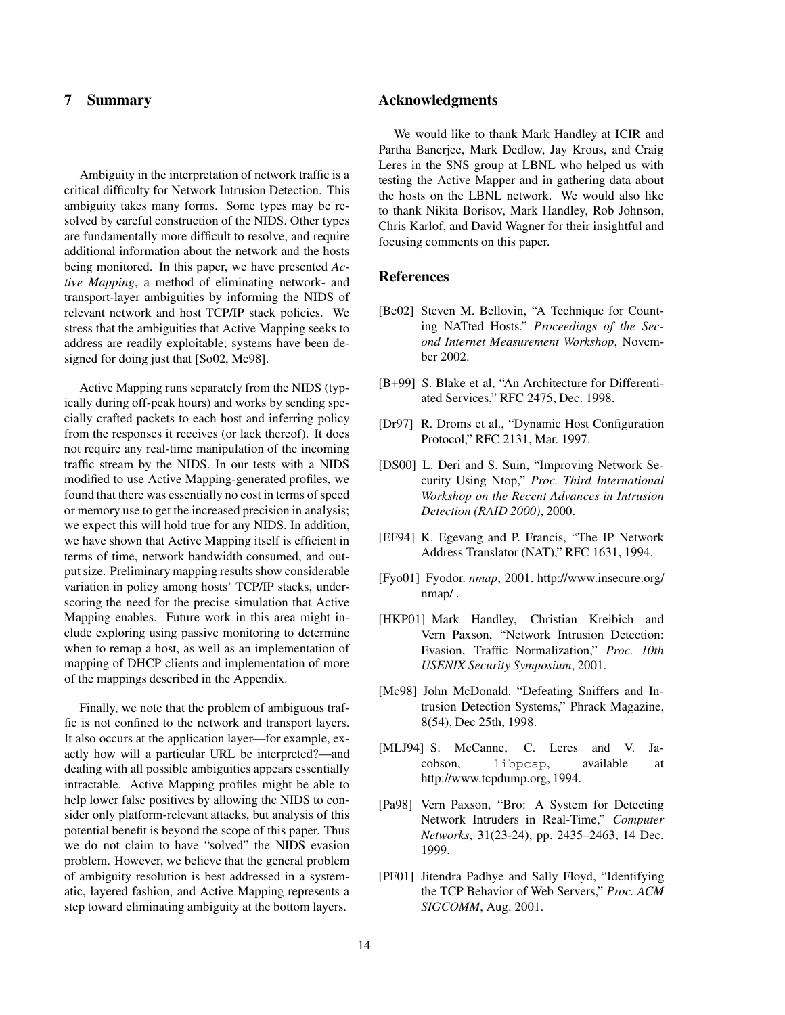## **7 Summary**

Ambiguity in the interpretation of network traffic is a critical difficulty for Network Intrusion Detection. This ambiguity takes many forms. Some types may be resolved by careful construction of the NIDS. Other types are fundamentally more difficult to resolve, and require additional information about the network and the hosts being monitored. In this paper, we have presented *Active Mapping*, a method of eliminating network- and transport-layer ambiguities by informing the NIDS of relevant network and host TCP/IP stack policies. We stress that the ambiguities that Active Mapping seeks to address are readily exploitable; systems have been designed for doing just that [So02, Mc98].

Active Mapping runs separately from the NIDS (typically during off-peak hours) and works by sending specially crafted packets to each host and inferring policy from the responses it receives (or lack thereof). It does not require any real-time manipulation of the incoming traffic stream by the NIDS. In our tests with a NIDS modified to use Active Mapping-generated profiles, we found that there was essentially no cost in terms of speed or memory use to get the increased precision in analysis; we expect this will hold true for any NIDS. In addition, we have shown that Active Mapping itself is efficient in terms of time, network bandwidth consumed, and outputsize. Preliminary mapping results show considerable variation in policy among hosts' TCP/IP stacks, underscoring the need for the precise simulation that Active Mapping enables. Future work in this area might include exploring using passive monitoring to determine when to remap a host, as well as an implementation of mapping of DHCP clients and implementation of more of the mappings described in the Appendix.

Finally, we note that the problem of ambiguous traffic is not confined to the network and transport layers. It also occurs at the application layer—for example, exactly how will a particular URL be interpreted?—and dealing with all possible ambiguities appears essentially intractable. Active Mapping profiles might be able to help lower false positives by allowing the NIDS to consider only platform-relevant attacks, but analysis of this potential benefit is beyond the scope of this paper. Thus we do not claim to have "solved" the NIDS evasion problem. However, we believe that the general problem of ambiguity resolution is best addressed in a systematic, layered fashion, and Active Mapping represents a step toward eliminating ambiguity at the bottom layers.

#### **Acknowledgments**

We would like to thank Mark Handley at ICIR and Partha Banerjee, Mark Dedlow, Jay Krous, and Craig Leres in the SNS group at LBNL who helped us with testing the Active Mapper and in gathering data about the hosts on the LBNL network. We would also like to thank Nikita Borisov, Mark Handley, Rob Johnson, Chris Karlof, and David Wagner for their insightful and focusing comments on this paper.

## **References**

- [Be02] Steven M. Bellovin, "A Technique for Counting NATted Hosts." *Proceedings of the Second Internet Measurement Workshop*, November 2002.
- [B+99] S. Blake et al, "An Architecture for Differentiated Services," RFC 2475, Dec. 1998.
- [Dr97] R. Droms et al., "Dynamic Host Configuration Protocol," RFC 2131, Mar. 1997.
- [DS00] L. Deri and S. Suin, "Improving Network Security Using Ntop," *Proc. Third International Workshop on the Recent Advances in Intrusion Detection (RAID 2000)*, 2000.
- [EF94] K. Egevang and P. Francis, "The IP Network Address Translator (NAT)," RFC 1631, 1994.
- [Fyo01] Fyodor. *nmap*, 2001. http://www.insecure.org/ nmap/ .
- [HKP01] Mark Handley, Christian Kreibich and Vern Paxson, "Network Intrusion Detection: Evasion, Traffic Normalization," *Proc. 10th USENIX Security Symposium*, 2001.
- [Mc98] John McDonald. "Defeating Sniffers and Intrusion Detection Systems," Phrack Magazine, 8(54), Dec 25th, 1998.
- [MLJ94] S. McCanne, C. Leres and V. Jacobson, libpcap, available at http://www.tcpdump.org, 1994.
- [Pa98] Vern Paxson, "Bro: A System for Detecting Network Intruders in Real-Time," *Computer Networks*, 31(23-24), pp. 2435–2463, 14 Dec. 1999.
- [PF01] Jitendra Padhye and Sally Floyd, "Identifying the TCP Behavior of Web Servers," *Proc. ACM SIGCOMM*, Aug. 2001.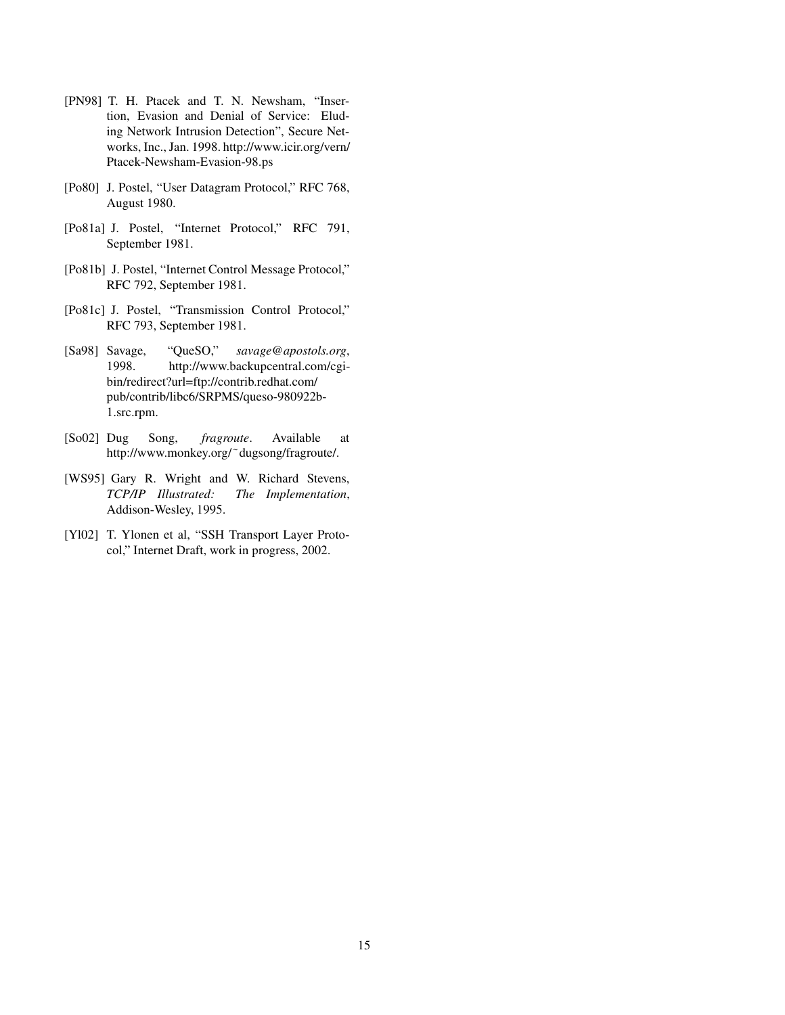- [PN98] T. H. Ptacek and T. N. Newsham, "Insertion, Evasion and Denial of Service: Eluding Network Intrusion Detection", Secure Networks, Inc., Jan. 1998. http://www.icir.org/vern/ Ptacek-Newsham-Evasion-98.ps
- [Po80] J. Postel, "User Datagram Protocol," RFC 768, August 1980.
- [Po81a] J. Postel, "Internet Protocol," RFC 791, September 1981.
- [Po81b] J. Postel, "Internet Control Message Protocol," RFC 792, September 1981.
- [Po81c] J. Postel, "Transmission Control Protocol," RFC 793, September 1981.
- [Sa98] Savage, "QueSO," *savage@apostols.org*, 1998. http://www.backupcentral.com/cgibin/redirect?url=ftp://contrib.redhat.com/ pub/contrib/libc6/SRPMS/queso-980922b-1.src.rpm.
- [So02] Dug Song, *fragroute*. Available at http://www.monkey.org/˜dugsong/fragroute/.
- [WS95] Gary R. Wright and W. Richard Stevens, *TCP/IP Illustrated: The Implementation*, Addison-Wesley, 1995.
- [Yl02] T. Ylonen et al, "SSH Transport Layer Protocol," Internet Draft, work in progress, 2002.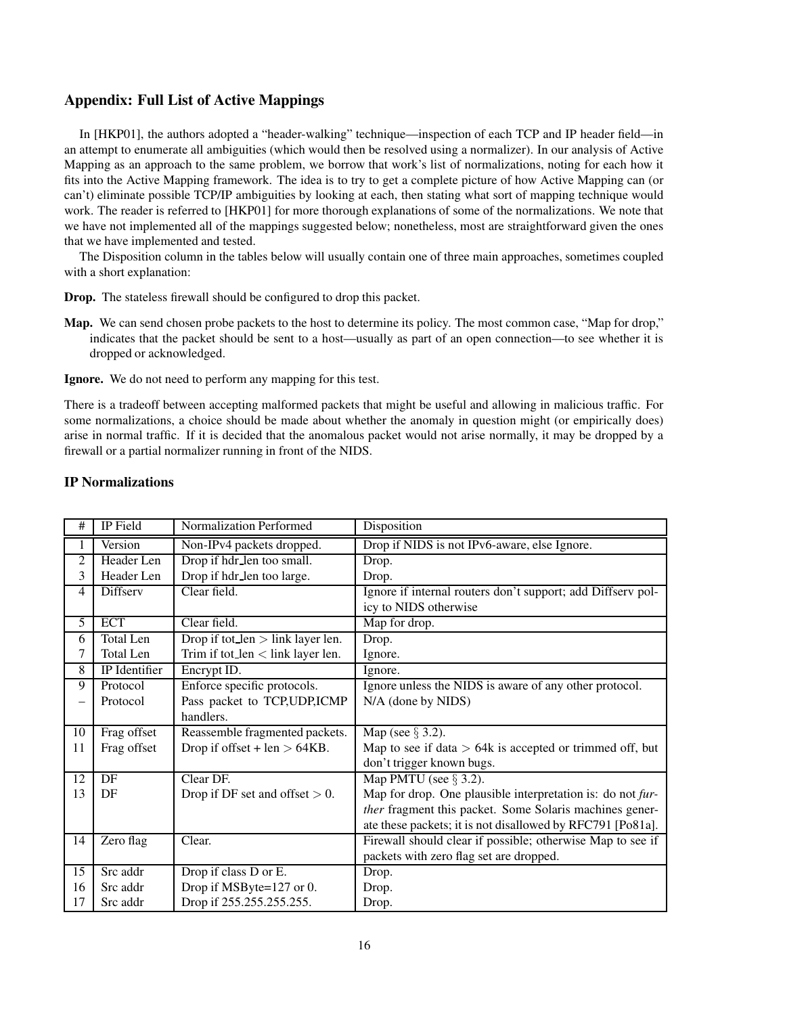## **Appendix: Full List of Active Mappings**

In [HKP01], the authors adopted a "header-walking" technique—inspection of each TCP and IP header field—in an attempt to enumerate all ambiguities (which would then be resolved using a normalizer). In our analysis of Active Mapping as an approach to the same problem, we borrow that work's list of normalizations, noting for each how it fits into the Active Mapping framework. The idea is to try to get a complete picture of how Active Mapping can (or can't) eliminate possible TCP/IP ambiguities by looking at each, then stating what sort of mapping technique would work. The reader is referred to [HKP01] for more thorough explanations of some of the normalizations. We note that we have not implemented all of the mappings suggested below; nonetheless, most are straightforward given the ones that we have implemented and tested.

The Disposition column in the tables below will usually contain one of three main approaches, sometimes coupled with a short explanation:

**Drop.** The stateless firewall should be configured to drop this packet.

**Map.** We can send chosen probe packets to the host to determine its policy. The most common case, "Map for drop," indicates that the packet should be sent to a host—usually as part of an open connection—to see whether it is dropped or acknowledged.

**Ignore.** We do not need to perform any mapping for this test.

There is a tradeoff between accepting malformed packets that might be useful and allowing in malicious traffic. For some normalizations, a choice should be made about whether the anomaly in question might (or empirically does) arise in normal traffic. If it is decided that the anomalous packet would not arise normally, it may be dropped by a firewall or a partial normalizer running in front of the NIDS.

| #              | <b>IP</b> Field  | Normalization Performed             | Disposition                                                 |
|----------------|------------------|-------------------------------------|-------------------------------------------------------------|
| 1              | Version          | Non-IPv4 packets dropped.           | Drop if NIDS is not IPv6-aware, else Ignore.                |
| $\overline{c}$ | Header Len       | Drop if hdr_len too small.          | Drop.                                                       |
| 3              | Header Len       | Drop if hdr_len too large.          | Drop.                                                       |
| 4              | Diffserv         | Clear field.                        | Ignore if internal routers don't support; add Diffserv pol- |
|                |                  |                                     | icy to NIDS otherwise                                       |
| 5              | <b>ECT</b>       | Clear field.                        | Map for drop.                                               |
| 6              | <b>Total Len</b> | Drop if tot $len$ > link layer len. | Drop.                                                       |
| 7              | Total Len        | Trim if tot_len $<$ link layer len. | Ignore.                                                     |
| 8              | IP Identifier    | Encrypt ID.                         | Ignore.                                                     |
| 9              | Protocol         | Enforce specific protocols.         | Ignore unless the NIDS is aware of any other protocol.      |
|                | Protocol         | Pass packet to TCP, UDP, ICMP       | N/A (done by NIDS)                                          |
|                |                  | handlers.                           |                                                             |
| 10             | Frag offset      | Reassemble fragmented packets.      | Map (see $\S$ 3.2).                                         |
| 11             | Frag offset      | Drop if offset $+$ len $> 64KB$ .   | Map to see if data $> 64k$ is accepted or trimmed off, but  |
|                |                  |                                     | don't trigger known bugs.                                   |
| 12             | DF               | Clear DF.                           | Map PMTU (see $\S$ 3.2).                                    |
| 13             | DF               | Drop if DF set and offset $> 0$ .   | Map for drop. One plausible interpretation is: do not fur-  |
|                |                  |                                     | ther fragment this packet. Some Solaris machines gener-     |
|                |                  |                                     | ate these packets; it is not disallowed by RFC791 [Po81a].  |
| 14             | Zero flag        | Clear.                              | Firewall should clear if possible; otherwise Map to see if  |
|                |                  |                                     | packets with zero flag set are dropped.                     |
| 15             | Src addr         | Drop if class D or E.               | Drop.                                                       |
| 16             | Src addr         | Drop if MSByte=127 or 0.            | Drop.                                                       |
| 17             | Src addr         | Drop if 255.255.255.255.            | Drop.                                                       |

## **IP Normalizations**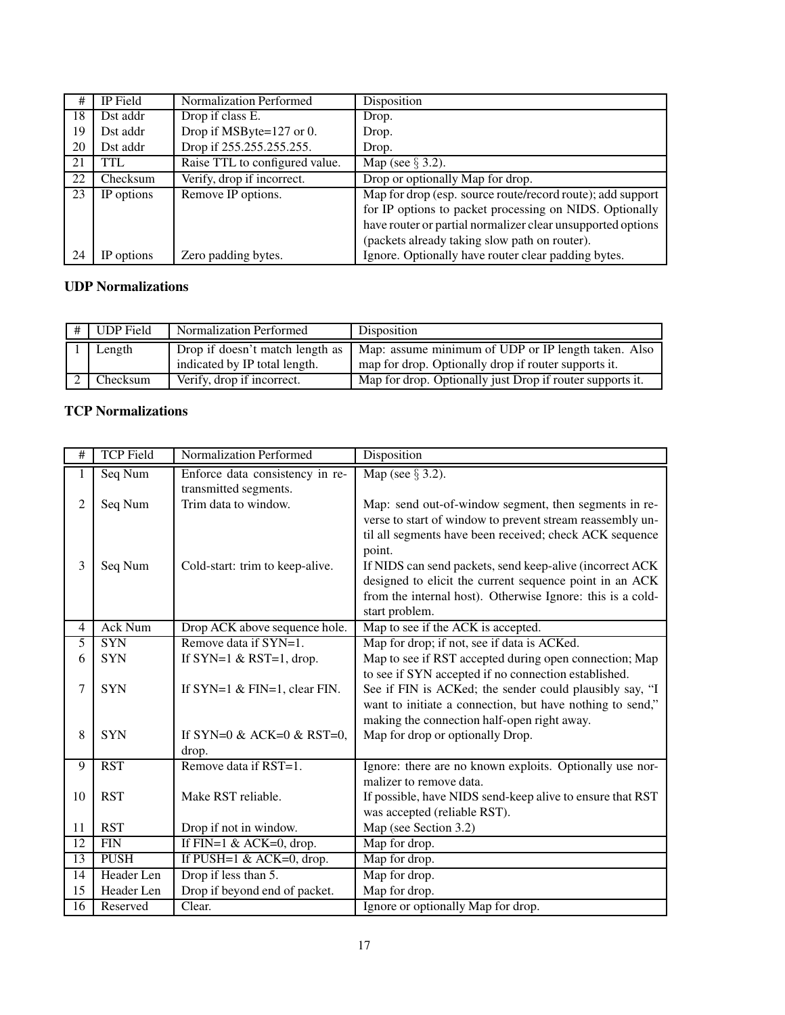| #  | IP Field   | Normalization Performed        | Disposition                                                 |
|----|------------|--------------------------------|-------------------------------------------------------------|
| 18 | Dst addr   | Drop if class E.               | Drop.                                                       |
| 19 | Dst addr   | Drop if MSByte=127 or 0.       | Drop.                                                       |
| 20 | Dst addr   | Drop if 255.255.255.255.       | Drop.                                                       |
| 21 | TTL        | Raise TTL to configured value. | Map (see $\S$ 3.2).                                         |
| 22 | Checksum   | Verify, drop if incorrect.     | Drop or optionally Map for drop.                            |
| 23 | IP options | Remove IP options.             | Map for drop (esp. source route/record route); add support  |
|    |            |                                | for IP options to packet processing on NIDS. Optionally     |
|    |            |                                | have router or partial normalizer clear unsupported options |
|    |            |                                | (packets already taking slow path on router).               |
| 24 | IP options | Zero padding bytes.            | Ignore. Optionally have router clear padding bytes.         |

# **UDP Normalizations**

| # | <b>UDP</b> Field | <b>Normalization Performed</b>  | Disposition                                               |
|---|------------------|---------------------------------|-----------------------------------------------------------|
|   | Length           | Drop if doesn't match length as | Map: assume minimum of UDP or IP length taken. Also       |
|   |                  | indicated by IP total length.   | map for drop. Optionally drop if router supports it.      |
|   | Checksum         | Verify, drop if incorrect.      | Map for drop. Optionally just Drop if router supports it. |

# **TCP Normalizations**

| #              | <b>TCP</b> Field | Normalization Performed              | Disposition                                                |
|----------------|------------------|--------------------------------------|------------------------------------------------------------|
| 1              | Seq Num          | Enforce data consistency in re-      | Map (see $\S 3.2$ ).                                       |
|                |                  | transmitted segments.                |                                                            |
| 2              | Seq Num          | Trim data to window.                 | Map: send out-of-window segment, then segments in re-      |
|                |                  |                                      | verse to start of window to prevent stream reassembly un-  |
|                |                  |                                      | til all segments have been received; check ACK sequence    |
|                |                  |                                      | point.                                                     |
| 3              | Seq Num          | Cold-start: trim to keep-alive.      | If NIDS can send packets, send keep-alive (incorrect ACK   |
|                |                  |                                      | designed to elicit the current sequence point in an ACK    |
|                |                  |                                      | from the internal host). Otherwise Ignore: this is a cold- |
| $\overline{4}$ | <b>Ack Num</b>   | Drop ACK above sequence hole.        | start problem.<br>Map to see if the ACK is accepted.       |
|                | <b>SYN</b>       | Remove data if SYN=1.                |                                                            |
| 5              |                  |                                      | Map for drop; if not, see if data is ACKed.                |
| 6              | <b>SYN</b>       | If $SYN=1$ & RST=1, drop.            | Map to see if RST accepted during open connection; Map     |
|                |                  |                                      | to see if SYN accepted if no connection established.       |
| 7              | <b>SYN</b>       | If $SYN=1$ & $FIN=1$ , clear $FIN$ . | See if FIN is ACKed; the sender could plausibly say, "I    |
|                |                  |                                      | want to initiate a connection, but have nothing to send,"  |
|                |                  |                                      | making the connection half-open right away.                |
| 8              | <b>SYN</b>       | If SYN=0 & ACK=0 & RST=0,            | Map for drop or optionally Drop.                           |
|                |                  | drop.                                |                                                            |
| 9              | <b>RST</b>       | Remove data if RST=1.                | Ignore: there are no known exploits. Optionally use nor-   |
|                |                  |                                      | malizer to remove data.                                    |
| 10             | <b>RST</b>       | Make RST reliable.                   | If possible, have NIDS send-keep alive to ensure that RST  |
|                |                  |                                      | was accepted (reliable RST).                               |
| 11             | <b>RST</b>       | Drop if not in window.               | Map (see Section 3.2)                                      |
| 12             | <b>FIN</b>       | If $FIN=1$ & ACK=0, drop.            | Map for drop.                                              |
| 13             | <b>PUSH</b>      | If PUSH=1 $&$ ACK=0, drop.           | Map for drop.                                              |
| 14             | Header Len       | Drop if less than 5.                 | Map for drop.                                              |
| 15             | Header Len       | Drop if beyond end of packet.        | Map for drop.                                              |
| 16             | Reserved         | Clear.                               | Ignore or optionally Map for drop.                         |